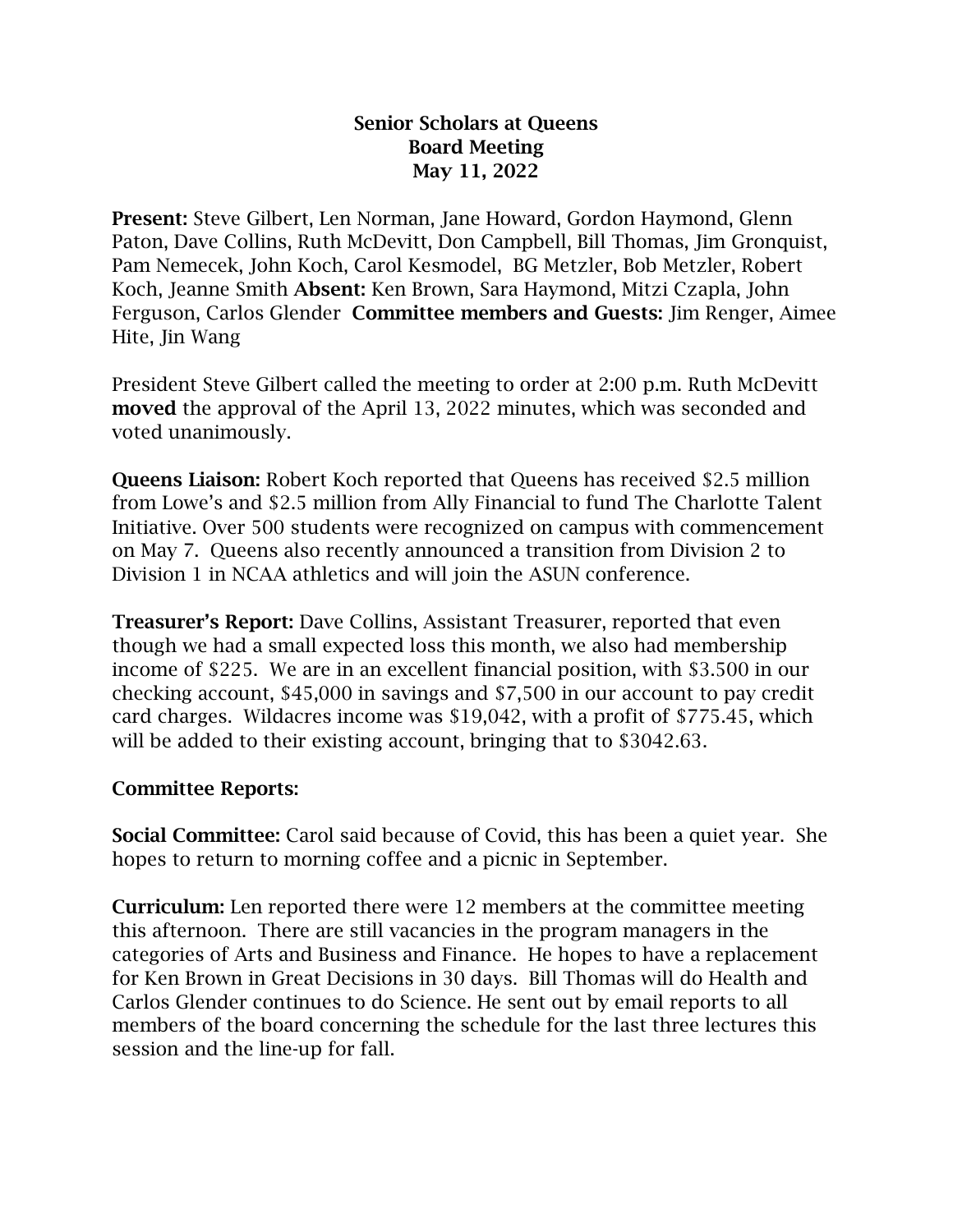## Senior Scholars at Queens Board Meeting May 11, 2022

Present: Steve Gilbert, Len Norman, Jane Howard, Gordon Haymond, Glenn Paton, Dave Collins, Ruth McDevitt, Don Campbell, Bill Thomas, Jim Gronquist, Pam Nemecek, John Koch, Carol Kesmodel, BG Metzler, Bob Metzler, Robert Koch, Jeanne Smith Absent: Ken Brown, Sara Haymond, Mitzi Czapla, John Ferguson, Carlos Glender Committee members and Guests: Jim Renger, Aimee Hite, Jin Wang

President Steve Gilbert called the meeting to order at 2:00 p.m. Ruth McDevitt moved the approval of the April 13, 2022 minutes, which was seconded and voted unanimously.

Queens Liaison: Robert Koch reported that Queens has received \$2.5 million from Lowe's and \$2.5 million from Ally Financial to fund The Charlotte Talent Initiative. Over 500 students were recognized on campus with commencement on May 7. Queens also recently announced a transition from Division 2 to Division 1 in NCAA athletics and will join the ASUN conference.

Treasurer's Report: Dave Collins, Assistant Treasurer, reported that even though we had a small expected loss this month, we also had membership income of \$225. We are in an excellent financial position, with \$3.500 in our checking account, \$45,000 in savings and \$7,500 in our account to pay credit card charges. Wildacres income was \$19,042, with a profit of \$775.45, which will be added to their existing account, bringing that to \$3042.63.

## Committee Reports:

Social Committee: Carol said because of Covid, this has been a quiet year. She hopes to return to morning coffee and a picnic in September.

Curriculum: Len reported there were 12 members at the committee meeting this afternoon. There are still vacancies in the program managers in the categories of Arts and Business and Finance. He hopes to have a replacement for Ken Brown in Great Decisions in 30 days. Bill Thomas will do Health and Carlos Glender continues to do Science. He sent out by email reports to all members of the board concerning the schedule for the last three lectures this session and the line-up for fall.